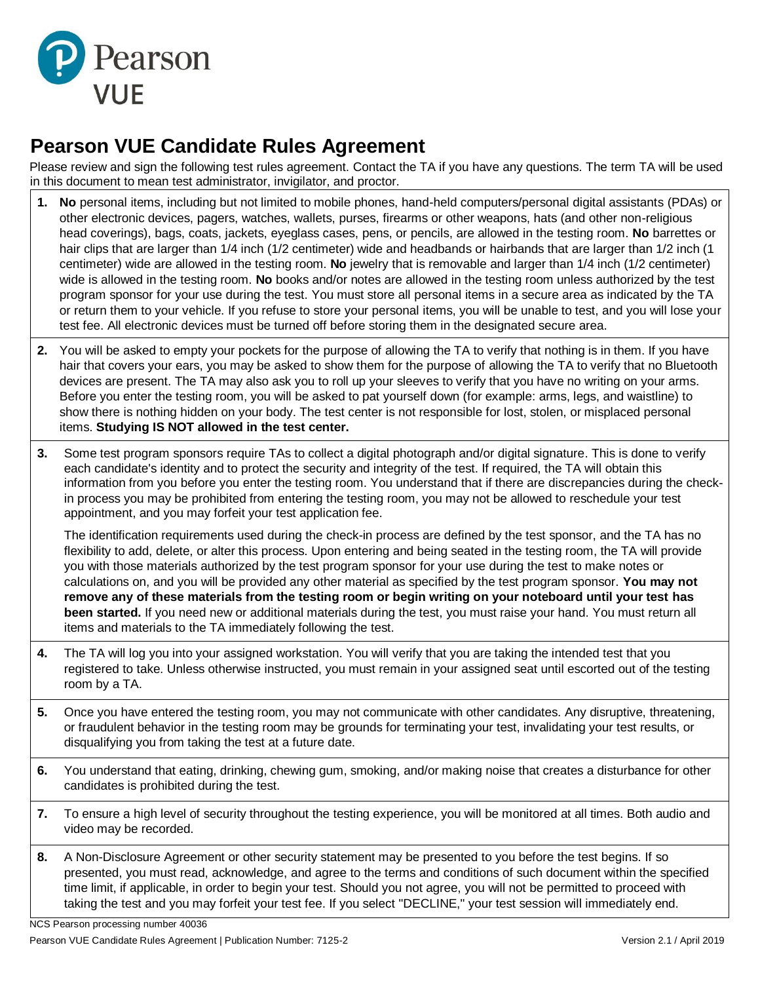

## **Pearson VUE Candidate Rules Agreement**

Please review and sign the following test rules agreement. Contact the TA if you have any questions. The term TA will be used in this document to mean test administrator, invigilator, and proctor.

- **1. No** personal items, including but not limited to mobile phones, hand-held computers/personal digital assistants (PDAs) or other electronic devices, pagers, watches, wallets, purses, firearms or other weapons, hats (and other non-religious head coverings), bags, coats, jackets, eyeglass cases, pens, or pencils, are allowed in the testing room. **No** barrettes or hair clips that are larger than 1/4 inch (1/2 centimeter) wide and headbands or hairbands that are larger than 1/2 inch (1 centimeter) wide are allowed in the testing room. **No** jewelry that is removable and larger than 1/4 inch (1/2 centimeter) wide is allowed in the testing room. **No** books and/or notes are allowed in the testing room unless authorized by the test program sponsor for your use during the test. You must store all personal items in a secure area as indicated by the TA or return them to your vehicle. If you refuse to store your personal items, you will be unable to test, and you will lose your test fee. All electronic devices must be turned off before storing them in the designated secure area.
- **2.** You will be asked to empty your pockets for the purpose of allowing the TA to verify that nothing is in them. If you have hair that covers your ears, you may be asked to show them for the purpose of allowing the TA to verify that no Bluetooth devices are present. The TA may also ask you to roll up your sleeves to verify that you have no writing on your arms. Before you enter the testing room, you will be asked to pat yourself down (for example: arms, legs, and waistline) to show there is nothing hidden on your body. The test center is not responsible for lost, stolen, or misplaced personal items. **Studying IS NOT allowed in the test center.**
- **3.** Some test program sponsors require TAs to collect a digital photograph and/or digital signature. This is done to verify each candidate's identity and to protect the security and integrity of the test. If required, the TA will obtain this information from you before you enter the testing room. You understand that if there are discrepancies during the checkin process you may be prohibited from entering the testing room, you may not be allowed to reschedule your test appointment, and you may forfeit your test application fee.

The identification requirements used during the check-in process are defined by the test sponsor, and the TA has no flexibility to add, delete, or alter this process. Upon entering and being seated in the testing room, the TA will provide you with those materials authorized by the test program sponsor for your use during the test to make notes or calculations on, and you will be provided any other material as specified by the test program sponsor. **You may not remove any of these materials from the testing room or begin writing on your noteboard until your test has been started.** If you need new or additional materials during the test, you must raise your hand. You must return all items and materials to the TA immediately following the test.

- **4.** The TA will log you into your assigned workstation. You will verify that you are taking the intended test that you registered to take. Unless otherwise instructed, you must remain in your assigned seat until escorted out of the testing room by a TA.
- **5.** Once you have entered the testing room, you may not communicate with other candidates. Any disruptive, threatening, or fraudulent behavior in the testing room may be grounds for terminating your test, invalidating your test results, or disqualifying you from taking the test at a future date.
- **6.** You understand that eating, drinking, chewing gum, smoking, and/or making noise that creates a disturbance for other candidates is prohibited during the test.
- **7.** To ensure a high level of security throughout the testing experience, you will be monitored at all times. Both audio and video may be recorded.
- **8.** A Non-Disclosure Agreement or other security statement may be presented to you before the test begins. If so presented, you must read, acknowledge, and agree to the terms and conditions of such document within the specified time limit, if applicable, in order to begin your test. Should you not agree, you will not be permitted to proceed with taking the test and you may forfeit your test fee. If you select "DECLINE," your test session will immediately end.